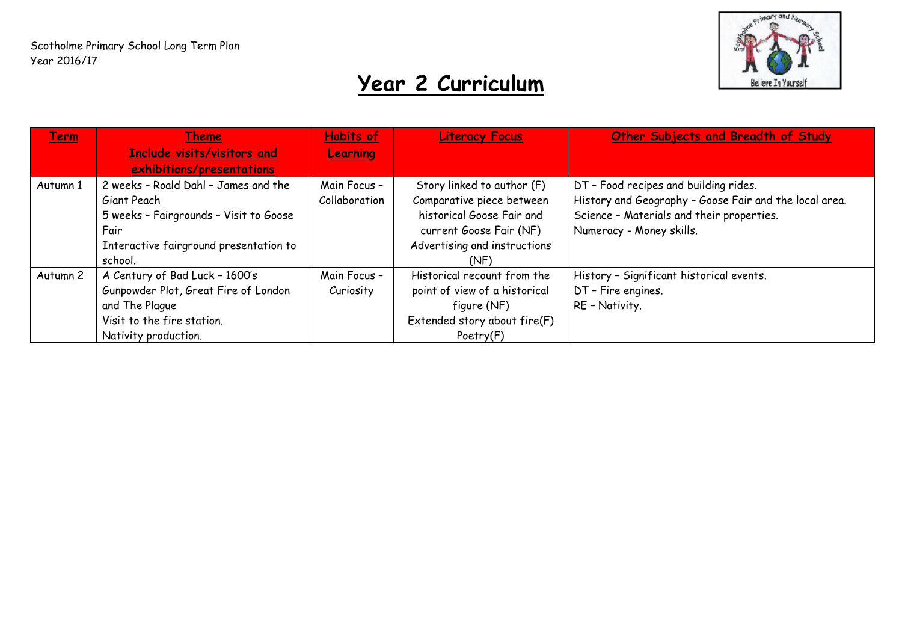

## **Year 2 Curriculum**

| <b>Term</b> | <b>Theme</b>                           | <b>Habits of</b> | <b>Literacy Focus</b>         | Other Subjects and Breadth of Study                    |
|-------------|----------------------------------------|------------------|-------------------------------|--------------------------------------------------------|
|             | <b>Include visits/visitors and</b>     | <b>Learning</b>  |                               |                                                        |
|             | exhibitions/presentations              |                  |                               |                                                        |
| Autumn 1    | 2 weeks - Roald Dahl - James and the   | Main Focus -     | Story linked to author (F)    | DT - Food recipes and building rides.                  |
|             | Giant Peach                            | Collaboration    | Comparative piece between     | History and Geography - Goose Fair and the local area. |
|             | 5 weeks - Fairgrounds - Visit to Goose |                  | historical Goose Fair and     | Science - Materials and their properties.              |
|             | Fair                                   |                  | current Goose Fair (NF)       | Numeracy - Money skills.                               |
|             | Interactive fairground presentation to |                  | Advertising and instructions  |                                                        |
|             | school.                                |                  | (NF)                          |                                                        |
| Autumn 2    | A Century of Bad Luck - 1600's         | Main Focus -     | Historical recount from the   | History - Significant historical events.               |
|             | Gunpowder Plot, Great Fire of London   | Curiosity        | point of view of a historical | DT - Fire engines.                                     |
|             | and The Plague                         |                  | figure (NF)                   | RE - Nativity.                                         |
|             | Visit to the fire station.             |                  | Extended story about fire(F)  |                                                        |
|             | Nativity production.                   |                  | Poetry(F)                     |                                                        |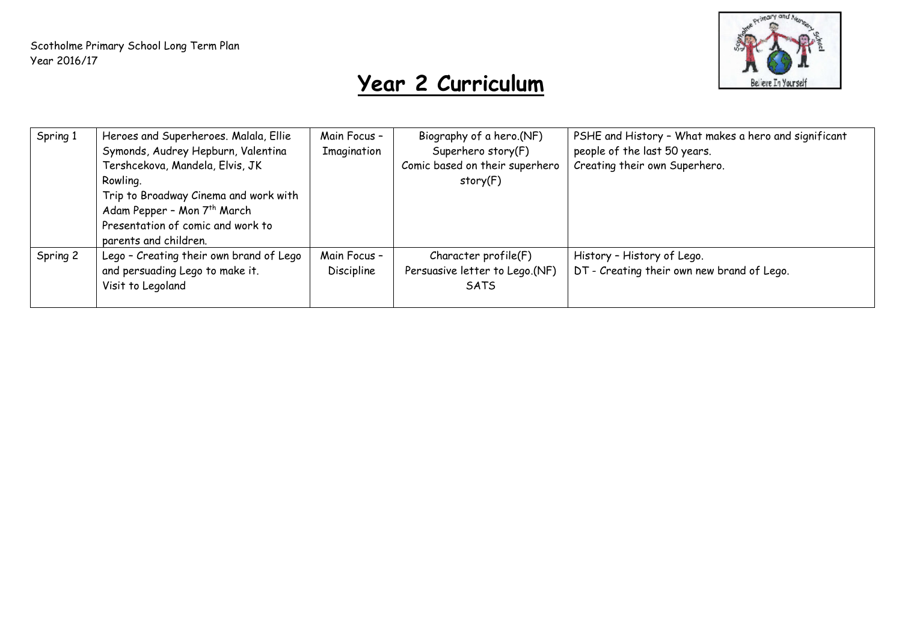

## **Year 2 Curriculum**

| Spring 1 | Heroes and Superheroes. Malala, Ellie<br>Symonds, Audrey Hepburn, Valentina<br>Tershcekova, Mandela, Elvis, JK<br>Rowling.<br>Trip to Broadway Cinema and work with<br>Adam Pepper - Mon 7 <sup>th</sup> March<br>Presentation of comic and work to<br>parents and children. | Main Focus -<br>Imagination       | Biography of a hero.(NF)<br>Superhero story(F)<br>Comic based on their superhero<br>story(F) | PSHE and History - What makes a hero and significant<br>people of the last 50 years.<br>Creating their own Superhero. |
|----------|------------------------------------------------------------------------------------------------------------------------------------------------------------------------------------------------------------------------------------------------------------------------------|-----------------------------------|----------------------------------------------------------------------------------------------|-----------------------------------------------------------------------------------------------------------------------|
| Spring 2 | Lego - Creating their own brand of Lego<br>and persuading Lego to make it.<br>Visit to Legoland                                                                                                                                                                              | Main Focus -<br><b>Discipline</b> | Character profile(F)<br>Persuasive letter to Lego.(NF)<br><b>SATS</b>                        | History - History of Lego.<br>DT - Creating their own new brand of Lego.                                              |